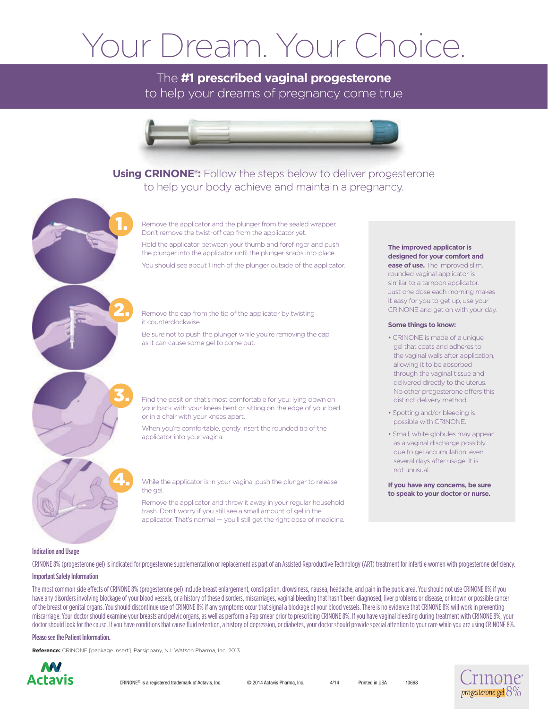#### Your Dream. Your Choice.

#### The **#1 prescribed vaginal progesterone** to help your dreams of pregnancy come true



#### **Using CRINONE®:** Follow the steps below to deliver progesterone to help your body achieve and maintain a pregnancy.

Remove the applicator and the plunger from the sealed wrapper. Don't remove the twist-off cap from the applicator yet.

Hold the applicator between your thumb and forefinger and push the plunger into the applicator until the plunger snaps into place.

You should see about 1 inch of the plunger outside of the applicator.

Remove the cap from the tip of the applicator by twisting it counterclockwise.

Be sure not to push the plunger while you're removing the cap as it can cause some gel to come out.

Find the position that's most comfortable for you: lying down on your back with your knees bent or sitting on the edge of your bed or in a chair with your knees apart.

When you're comfortable, gently insert the rounded tip of the applicator into your vagina.

While the applicator is in your vagina, push the plunger to release the gel.

Remove the applicator and throw it away in your regular household trash. Don't worry if you still see a small amount of gel in the applicator. That's normal — you'll still get the right dose of medicine.

#### **The improved applicator is designed for your comfort and ease of use.** The improved slim,

rounded vaginal applicator is similar to a tampon applicator. Just one dose each morning makes it easy for you to get up, use your CRINONE and get on with your day.

#### **Some things to know:**

- CRINONE is made of a unique gel that coats and adheres to the vaginal walls after application, allowing it to be absorbed through the vaginal tissue and delivered directly to the uterus. No other progesterone offers this distinct delivery method.
- Spotting and/or bleeding is possible with CRINONE.
- Small, white globules may appear as a vaginal discharge possibly due to gel accumulation, even several days after usage. It is not unusual.

**If you have any concerns, be sure to speak to your doctor or nurse.**

#### Indication and Usage

CRINONE 8% (progesterone gel) is indicated for progesterone supplementation or replacement as part of an Assisted Reproductive Technology (ART) treatment for infertile women with progesterone deficiency.

#### Important Safety Information

The most common side effects of CRINONE 8% (progesterone gel) include breast enlargement, constipation, drowsiness, nausea, headache, and pain in the pubic area. You should not use CRINONE 8% if you have any disorders involving blockage of your blood vessels, or a history of these disorders, miscarriages, vaginal bleeding that hasn't been diagnosed, liver problems or disease, or known or possible cancer of the breast or genital organs. You should discontinue use of CRINONE 8% if any symptoms occur that signal a blockage of your blood vessels. There is no evidence that CRINONE 8% will work in preventing miscarriage. Your doctor should examine your breasts and pelvic organs, as well as perform a Pap smear prior to prescribing CRINONE 8%. If you have vaginal bleeding during treatment with CRINONE 8%, your doctor should look for the cause. If you have conditions that cause fluid retention, a history of depression, or diabetes, your doctor should provide special attention to your care while you are using CRINONE 8%.

#### Please see the Patient Information.

**Reference:** CRINONE [package insert]. Parsippany, NJ: Watson Pharma, Inc; 2013.

1.

2.

3.

4.



10668